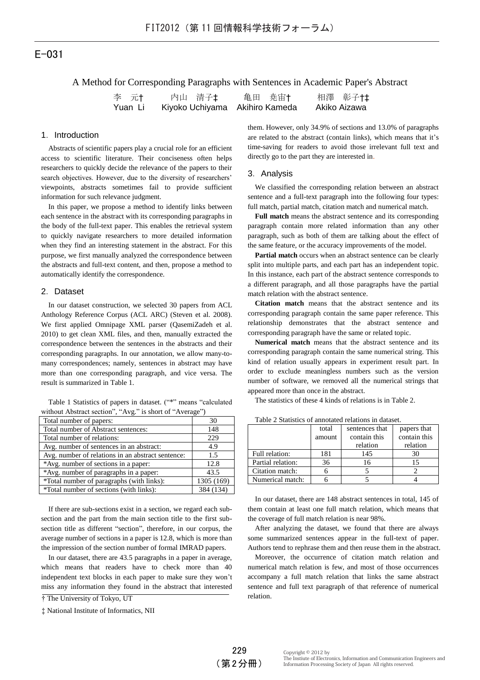# E-031

## A Method for Corresponding Paragraphs with Sentences in Academic Paper's Abstract

| 李 元十 | 内山 清子‡                                 | 亀田 尭宙† | 相澤 彰子†‡      |
|------|----------------------------------------|--------|--------------|
|      | Yuan Li Kiyoko Uchiyama Akihiro Kameda |        | Akiko Aizawa |

## 1.Introduction

Abstracts of scientific papers play a crucial role for an efficient access to scientific literature. Their conciseness often helps researchers to quickly decide the relevance of the papers to their search objectives. However, due to the diversity of researchers' viewpoints, abstracts sometimes fail to provide sufficient information for such relevance judgment.

In this paper, we propose a method to identify links between each sentence in the abstract with its corresponding paragraphs in the body of the full-text paper. This enables the retrieval system to quickly navigate researchers to more detailed information when they find an interesting statement in the abstract. For this purpose, we first manually analyzed the correspondence between the abstracts and full-text content, and then, propose a method to automatically identify the correspondence.

### 2.Dataset

In our dataset construction, we selected 30 papers from ACL Anthology Reference Corpus (ACL ARC) (Steven et al. 2008). We first applied Omnipage XML parser (QasemiZadeh et al. 2010) to get clean XML files, and then, manually extracted the correspondence between the sentences in the abstracts and their corresponding paragraphs. In our annotation, we allow many-tomany correspondences; namely, sentences in abstract may have more than one corresponding paragraph, and vice versa. The result is summarized in Table 1.

Table 1 Statistics of papers in dataset. ("\*" means "calculated without Abstract section", "Avg." is short of "Average")

| Total number of papers:                           | 30         |
|---------------------------------------------------|------------|
| Total number of Abstract sentences:               | 148        |
| Total number of relations:                        | 229        |
| Avg. number of sentences in an abstract:          | 4.9        |
| Avg. number of relations in an abstract sentence: | 1.5        |
| *Avg. number of sections in a paper:              | 12.8       |
| *Avg. number of paragraphs in a paper:            | 43.5       |
| *Total number of paragraphs (with links):         | 1305 (169) |
| *Total number of sections (with links):           | 384 (134)  |

If there are sub-sections exist in a section, we regard each subsection and the part from the main section title to the first subsection title as different "section", therefore, in our corpus, the average number of sections in a paper is 12.8, which is more than the impression of the section number of formal IMRAD papers.

In our dataset, there are 43.5 paragraphs in a paper in average, which means that readers have to check more than 40 independent text blocks in each paper to make sure they won't miss any information they found in the abstract that interested

‡ National Institute of Informatics, NII

them. However, only 34.9% of sections and 13.0% of paragraphs are related to the abstract (contain links), which means that it's time-saving for readers to avoid those irrelevant full text and directly go to the part they are interested in.

#### 3.Analysis

We classified the corresponding relation between an abstract sentence and a full-text paragraph into the following four types: full match, partial match, citation match and numerical match.

**Full match** means the abstract sentence and its corresponding paragraph contain more related information than any other paragraph, such as both of them are talking about the effect of the same feature, or the accuracy improvements of the model.

**Partial match** occurs when an abstract sentence can be clearly split into multiple parts, and each part has an independent topic. In this instance, each part of the abstract sentence corresponds to a different paragraph, and all those paragraphs have the partial match relation with the abstract sentence.

**Citation match** means that the abstract sentence and its corresponding paragraph contain the same paper reference. This relationship demonstrates that the abstract sentence and corresponding paragraph have the same or related topic.

**Numerical match** means that the abstract sentence and its corresponding paragraph contain the same numerical string. This kind of relation usually appears in experiment result part. In order to exclude meaningless numbers such as the version number of software, we removed all the numerical strings that appeared more than once in the abstract.

The statistics of these 4 kinds of relations is in Table 2.

|                   | total<br>amount | sentences that<br>contain this | papers that<br>contain this |
|-------------------|-----------------|--------------------------------|-----------------------------|
|                   |                 | relation                       | relation                    |
| Full relation:    | 181             | 145                            | 30                          |
| Partial relation: | 36              | 16                             | 15                          |
| Citation match:   |                 |                                |                             |
| Numerical match:  |                 |                                |                             |

Table 2 Statistics of annotated relations in dataset.

In our dataset, there are 148 abstract sentences in total, 145 of them contain at least one full match relation, which means that the coverage of full match relation is near 98%.

After analyzing the dataset, we found that there are always some summarized sentences appear in the full-text of paper. Authors tend to rephrase them and then reuse them in the abstract.

Moreover, the occurrence of citation match relation and numerical match relation is few, and most of those occurrences accompany a full match relation that links the same abstract sentence and full text paragraph of that reference of numerical

<sup>&</sup>lt;sup>†</sup> The University of Tokyo, UT relation.